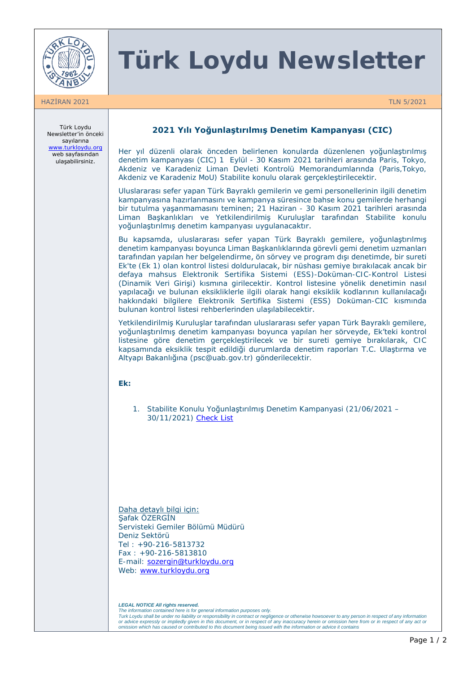

## **Türk Loydu Newsletter**

HAZİRAN 2021 TLN 5/2021

Türk Loydu Newsletter'in önceki sayılarına [www.turkloydu.org](http://www.turkloydu.org/) web sayfasından ulaşabilirsiniz.

### **2021 Yılı Yoğunlaştırılmış Denetim Kampanyası (CIC)**

Her yıl düzenli olarak önceden belirlenen konularda düzenlenen yoğunlaştırılmış denetim kampanyası (CIC) 1 Eylül - 30 Kasım 2021 tarihleri arasında Paris, Tokyo, Akdeniz ve Karadeniz Liman Devleti Kontrolü Memorandumlarında (Paris,Tokyo, Akdeniz ve Karadeniz MoU) Stabilite konulu olarak gerçekleştirilecektir.

Uluslararası sefer yapan Türk Bayraklı gemilerin ve gemi personellerinin ilgili denetim kampanyasına hazırlanmasını ve kampanya süresince bahse konu gemilerde herhangi bir tutulma yaşanmamasını teminen; 21 Haziran - 30 Kasım 2021 tarihleri arasında Liman Başkanlıkları ve Yetkilendirilmiş Kuruluşlar tarafından Stabilite konulu yoğunlaştırılmış denetim kampanyası uygulanacaktır.

Bu kapsamda, uluslararası sefer yapan Türk Bayraklı gemilere, yoğunlaştırılmış denetim kampanyası boyunca Liman Başkanlıklarında görevli gemi denetim uzmanları tarafından yapılan her belgelendirme, ön sörvey ve program dışı denetimde, bir sureti Ek'te (Ek 1) olan kontrol listesi doldurulacak, bir nüshası gemiye bırakılacak ancak bir defaya mahsus Elektronik Sertifika Sistemi (ESS)-Doküman-CIC-Kontrol Listesi (Dinamik Veri Girişi) kısmına girilecektir. Kontrol listesine yönelik denetimin nasıl yapılacağı ve bulunan eksikliklerle ilgili olarak hangi eksiklik kodlarının kullanılacağı hakkındaki bilgilere Elektronik Sertifika Sistemi (ESS) Doküman-CIC kısmında bulunan kontrol listesi rehberlerinden ulaşılabilecektir.

Yetkilendirilmiş Kuruluşlar tarafından uluslararası sefer yapan Türk Bayraklı gemilere, yoğunlaştırılmış denetim kampanyası boyunca yapılan her sörveyde, Ek'teki kontrol listesine göre denetim gerçekleştirilecek ve bir sureti gemiye bırakılarak, CIC kapsamında eksiklik tespit edildiği durumlarda denetim raporları T.C. Ulaştırma ve Altyapı Bakanlığına (psc@uab.gov.tr) gönderilecektir.

**Ek:**

1. Stabilite Konulu Yoğunlaştırılmış Denetim Kampanyasi (21/06/2021 – 30/11/2021) [Check List](https://turkloydu.org/pdf-files/bulten/2021/Turk%20Loydu%20Newsletter%2005-2021/Yaz%C4%B1%20eki%20Kontrol%20Listesi.pdf)

Daha detaylı bilgi için: Şafak ÖZERGİN Servisteki Gemiler Bölümü Müdürü Deniz Sektörü Tel : +90-216-5813732 Fax : +90-216-5813810 E-mail: [sozergin@turkloydu.org](mailto:sozergin@turkloydu.org) Web: www.turkloydu.org

*LEGAL NOTICE All rights reserved. The information contained here is for general information purposes only.* 

Turk Loydu shall be under no liability or responsibility in contract or negligence or otherwise howsoever to any person in respect of any information<br>or advice expressly or impliedly given in this document, or in respect o *omission which has caused or contributed to this document being issued with the information or advice it contains*